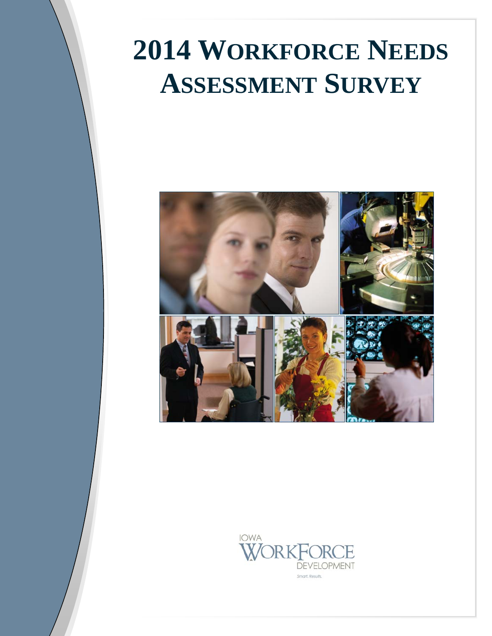# **2014 WORKFORCE NEEDS ASSESSMENT SURVEY**



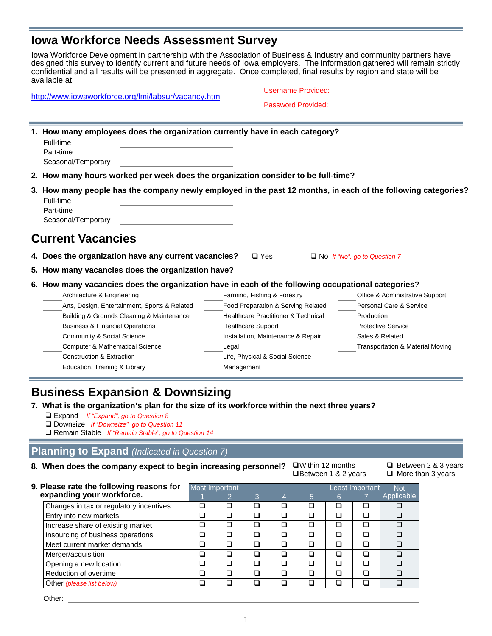## **Iowa Workforce Needs Assessment Survey**

Iowa Workforce Development in partnership with the Association of Business & Industry and community partners have designed this survey to identify current and future needs of Iowa employers. The information gathered will remain strictly confidential and all results will be presented in aggregate. Once completed, final results by region and state will be available at:

|  | http://www.iowaworkforce.org/lmi/labsur/vacancy.htm |  |
|--|-----------------------------------------------------|--|
|  |                                                     |  |

| Username Provided: |  |
|--------------------|--|
| Password Provided: |  |

| 1. How many employees does the organization currently have in each category?<br>Full-time<br>Part-time<br>Seasonal/Temporary                                  |                                                |                                     |  |  |  |  |
|---------------------------------------------------------------------------------------------------------------------------------------------------------------|------------------------------------------------|-------------------------------------|--|--|--|--|
| 2. How many hours worked per week does the organization consider to be full-time?                                                                             |                                                |                                     |  |  |  |  |
| 3. How many people has the company newly employed in the past 12 months, in each of the following categories?<br>Full-time<br>Part-time<br>Seasonal/Temporary |                                                |                                     |  |  |  |  |
| <b>Current Vacancies</b>                                                                                                                                      |                                                |                                     |  |  |  |  |
| 4. Does the organization have any current vacancies?                                                                                                          | $\square$ Yes                                  | $\Box$ No If "No", go to Question 7 |  |  |  |  |
| 5. How many vacancies does the organization have?                                                                                                             |                                                |                                     |  |  |  |  |
| 6. How many vacancies does the organization have in each of the following occupational categories?                                                            |                                                |                                     |  |  |  |  |
| Architecture & Engineering                                                                                                                                    | Farming, Fishing & Forestry                    | Office & Administrative Support     |  |  |  |  |
| Arts, Design, Entertainment, Sports & Related                                                                                                                 | Food Preparation & Serving Related             | Personal Care & Service             |  |  |  |  |
| Building & Grounds Cleaning & Maintenance                                                                                                                     | <b>Healthcare Practitioner &amp; Technical</b> | Production                          |  |  |  |  |
| <b>Business &amp; Financial Operations</b>                                                                                                                    | <b>Healthcare Support</b>                      | <b>Protective Service</b>           |  |  |  |  |
| <b>Community &amp; Social Science</b>                                                                                                                         | Installation, Maintenance & Repair             | Sales & Related                     |  |  |  |  |
| <b>Computer &amp; Mathematical Science</b>                                                                                                                    | Legal                                          | Transportation & Material Moving    |  |  |  |  |
| <b>Construction &amp; Extraction</b>                                                                                                                          | Life, Physical & Social Science                |                                     |  |  |  |  |
| Education, Training & Library                                                                                                                                 | Management                                     |                                     |  |  |  |  |

## **Business Expansion & Downsizing**

#### **7. What is the organization's plan for the size of its workforce within the next three years?**

- Expand *If "Expand", go to Question 8*
- Downsize *If "Downsize", go to Question 11*

Remain Stable *If "Remain Stable", go to Question 14* 

#### **Planning to Expand** *(Indicated in Question 7)*

#### **8. When does the company expect to begin increasing personnel?**

| $\square$ Within 12 months    |
|-------------------------------|
| <b>OBetween 1 &amp; 2 yes</b> |

 $\Box$  Between 2 & 3 years **Between 1 & 2 years**  $\Box$  More than 3 years

| 9. Please rate the following reasons for |        | Most Important           |        |        |   |   | Least Important |            |  |
|------------------------------------------|--------|--------------------------|--------|--------|---|---|-----------------|------------|--|
| expanding your workforce.                |        |                          | 3      | 4      | 5 | 6 |                 | Applicable |  |
| Changes in tax or regulatory incentives  |        |                          |        | ப      |   |   |                 |            |  |
| Entry into new markets                   |        | L.                       |        | $\Box$ |   |   |                 |            |  |
| Increase share of existing market        |        | $\overline{\phantom{a}}$ |        | □      |   |   |                 |            |  |
| Insourcing of business operations        |        | L.                       | $\Box$ | $\Box$ | コ |   |                 |            |  |
| Meet current market demands              |        | ٦                        |        | $\Box$ |   |   |                 |            |  |
| Merger/acquisition                       |        | ٦                        |        | □      |   |   |                 |            |  |
| Opening a new location                   | $\Box$ | ٦                        |        | $\Box$ | ב |   |                 |            |  |
| Reduction of overtime                    |        | ٦                        |        | $\Box$ |   |   |                 |            |  |
| Other (please list below)                |        |                          |        | П      |   |   |                 |            |  |

Other: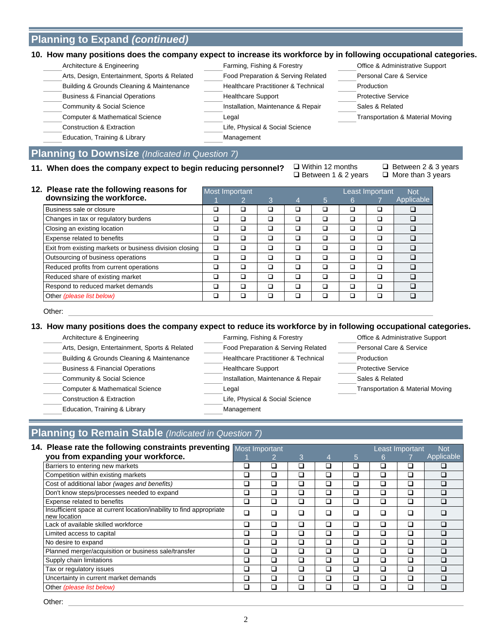## **Planning to Expand** *(continued)*

| Architecture & Engineering                    | Farming, Fishing & Forestry                    | Office & Administrative Support  |
|-----------------------------------------------|------------------------------------------------|----------------------------------|
| Arts, Design, Entertainment, Sports & Related | Food Preparation & Serving Related             | Personal Care & Service          |
| Building & Grounds Cleaning & Maintenance     | <b>Healthcare Practitioner &amp; Technical</b> | Production                       |
| <b>Business &amp; Financial Operations</b>    | <b>Healthcare Support</b>                      | <b>Protective Service</b>        |
| Community & Social Science                    | Installation, Maintenance & Repair             | Sales & Related                  |
| <b>Computer &amp; Mathematical Science</b>    | Legal                                          | Transportation & Material Moving |
| Construction & Extraction                     | Life, Physical & Social Science                |                                  |
| Education, Training & Library                 | Management                                     |                                  |

## **Planning to Downsize** *(Indicated in Question 7)*

11. When does the company expect to begin reducing personnel?

 $\Box$  Within 12 months  $\Box$  Between 2 & 3 years  $\Box$  Between 1 & 2 years  $\Box$  More than 3 years

| 12. Please rate the following reasons for               |        | Most Important |   | Least Important<br><b>Not</b> |   |   |   |            |
|---------------------------------------------------------|--------|----------------|---|-------------------------------|---|---|---|------------|
| downsizing the workforce.                               |        |                | 3 | 4                             | 5 | 6 |   | Applicable |
| Business sale or closure                                | - 1    | ⊐              | ⊐ | $\overline{\phantom{a}}$      |   | □ | ◻ |            |
| Changes in tax or regulatory burdens                    | ב      | ם              | ⊐ | □                             | Ξ | ◻ | ◻ |            |
| Closing an existing location                            | ב      | ◻              | □ | □                             | □ | □ | ◻ |            |
| Expense related to benefits                             | ב      | □              | □ | □                             | Ξ | □ | ◻ |            |
| Exit from existing markets or business division closing | $\Box$ | □              | ⊐ | □                             |   | ◻ | ◻ | □          |
| Outsourcing of business operations                      | ⊐      | ◻              | ⊐ |                               | Ξ | ◻ | ◻ | □          |
| Reduced profits from current operations                 | ב      | □              | □ |                               | Ξ | ◻ | ◻ | $\Box$     |
| Reduced share of existing market                        | ⊐      | ◘              | □ |                               | Ξ | ◻ | ◻ | $\Box$     |
| Respond to reduced market demands                       | ⊐      | □              | ⊐ | ⊐                             | □ | ◻ | ◻ | ⊓          |
| Other (please list below)                               | ı      | □              | □ |                               |   | □ | □ | $\Box$     |

Other:

#### **13. How many positions does the company expect to reduce its workforce by in following occupational categories.**

| Architecture & Engineering                    | Farming, Fishing & Forestry                    | Office & Administrative Support             |
|-----------------------------------------------|------------------------------------------------|---------------------------------------------|
| Arts, Design, Entertainment, Sports & Related | Food Preparation & Serving Related             | Personal Care & Service                     |
| Building & Grounds Cleaning & Maintenance     | <b>Healthcare Practitioner &amp; Technical</b> | Production                                  |
| <b>Business &amp; Financial Operations</b>    | <b>Healthcare Support</b>                      | <b>Protective Service</b>                   |
| <b>Community &amp; Social Science</b>         | Installation, Maintenance & Repair             | Sales & Related                             |
| <b>Computer &amp; Mathematical Science</b>    | Legal                                          | <b>Transportation &amp; Material Moving</b> |
| Construction & Extraction                     | Life, Physical & Social Science                |                                             |
| Education, Training & Library                 | Management                                     |                                             |

## **Planning to Remain Stable** *(Indicated in Question 7)*

| 14. Please rate the following constraints preventing                                 | Most Important |   |        |   |   |   | Least Important          | <b>Not</b> |
|--------------------------------------------------------------------------------------|----------------|---|--------|---|---|---|--------------------------|------------|
| you from expanding your workforce.                                                   |                |   | 3      | 4 | 5 | 6 |                          | Applicable |
| Barriers to entering new markets                                                     |                | ❏ | □      | ❏ | ❏ |   |                          |            |
| Competition within existing markets                                                  | ⊔              | ❏ | □      | ❏ | □ | □ | □                        |            |
| Cost of additional labor (wages and benefits)                                        |                | ❏ | □      | ❏ | □ | ❏ | □                        |            |
| Don't know steps/processes needed to expand                                          | ◻              | ם | □      | ❏ | □ | □ | □                        |            |
| Expense related to benefits                                                          |                | ❏ | □      | ❏ | ❏ | ❏ | □                        |            |
| Insufficient space at current location/inability to find appropriate<br>new location |                | □ | ◻      | ❏ | □ | □ | □                        |            |
| Lack of available skilled workforce                                                  |                | ם | $\Box$ | ◻ | □ |   | □                        |            |
| Limited access to capital                                                            |                | □ | $\Box$ | ◻ | □ | □ | □                        |            |
| No desire to expand                                                                  |                | ❏ | □      | ❏ | ❏ | ⊐ | □                        |            |
| Planned merger/acquisition or business sale/transfer                                 | П              | ◻ | $\Box$ | ◻ | □ | П | □                        |            |
| Supply chain limitations                                                             |                | □ | □      | ◻ | □ | □ | □                        |            |
| Tax or regulatory issues                                                             |                | ❏ | □      | ❏ | □ | □ | □                        |            |
| Uncertainty in current market demands                                                |                | ❏ | $\Box$ | ❏ | □ | □ | □                        |            |
| Other (please list below)                                                            |                | ⊐ | □      | ב | □ |   | $\overline{\phantom{a}}$ |            |

Other: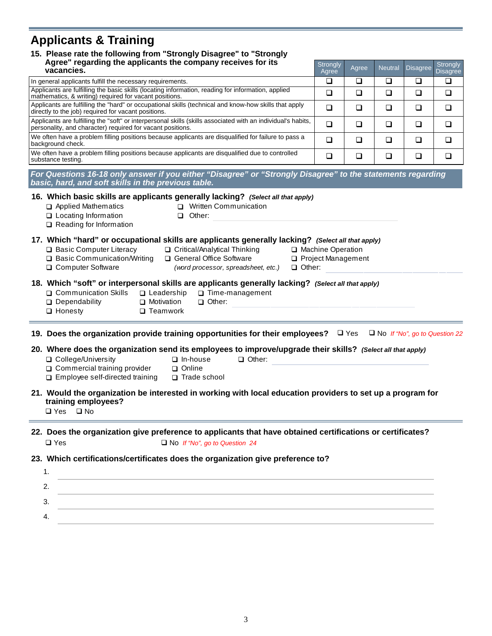## **Applicants & Training**

## Agree" regarding the applicants the company receives for its **Strongly** Strongly **Receives** Containing the applicants the company receives for its **Agree 15. Please rate the following from "Strongly Disagree" to "Strongly**

| Agree regarding the applicants the company receives for its<br>vacancies.                                                                                                  | Strongly<br>Agree | Agree | <b>Neutral</b> | Disagree Disagree | Strongly |
|----------------------------------------------------------------------------------------------------------------------------------------------------------------------------|-------------------|-------|----------------|-------------------|----------|
| In general applicants fulfill the necessary requirements.                                                                                                                  |                   |       |                |                   |          |
| Applicants are fulfilling the basic skills (locating information, reading for information, applied<br>mathematics, & writing) required for vacant positions.               |                   |       |                |                   |          |
| Applicants are fulfilling the "hard" or occupational skills (technical and know-how skills that apply<br>directly to the job) required for vacant positions.               |                   |       |                |                   |          |
| Applicants are fulfilling the "soft" or interpersonal skills (skills associated with an individual's habits,<br>personality, and character) required for vacant positions. |                   |       |                |                   |          |
| We often have a problem filling positions because applicants are disqualified for failure to pass a<br>background check.                                                   |                   |       |                |                   |          |
| We often have a problem filling positions because applicants are disqualified due to controlled<br>substance testing.                                                      |                   |       | ר              |                   |          |
| For Questions 16-18 only answer if you either "Disagree" or "Strongly Disagree" to the statements regarding                                                                |                   |       |                |                   |          |

*basic, hard, and soft skills in the previous table.* 

| 16. Which basic skills are applicants generally lacking? (Select all that apply) |                                                                                 |
|----------------------------------------------------------------------------------|---------------------------------------------------------------------------------|
| Applied Mathematics                                                              | Written Communication                                                           |
| □ Locating Information                                                           | Other:                                                                          |
| $\Box$ Reading for Information                                                   |                                                                                 |
|                                                                                  | 17. Which "hard" or occupational skills are applicants generally lacking? (Sele |

#### **17. extrall that apply)**

| Basic Computer Literacy |  |
|-------------------------|--|
|-------------------------|--|

- **D** Critical/Analytical Thinking **D** Machine Operation
- 
- **□** Basic Communication/Writing □ General Office Software □ Project Management General Office Software
	-
- 
- 
- □ Computer Software **Other:** (word processor, spreadsheet, etc.) □ Other:
- 

#### **18. Which "soft" or interpersonal skills are applicants generally lacking?** *(Select all that apply)*

- **□ Communication Skills** □ Leadership □ Time-management
- **□** Dependability **□** Motivation □ Other:
- 

#### □ Honesty □ Teamwork

**19. Does the organization provide training opportunities for their employees?**  $\Box$  Yes  $\Box$  No *If "No", go to Question 22* 

#### **20. Where does the organization send its employees to improve/upgrade their skills?** *(Select all that apply)*

- **Ontary** College/University **Direction Direction** Direction Direction Other:
	-
- **□ Commercial training provider** □ Online  $\square$  Employee self-directed training  $\square$  Trade school
	-

#### **21. Would the organization be interested in working with local education providers to set up a program for training employees?**

 $\Box$  Yes  $\Box$  No

#### □ Yes □ No *If "No", go to Question 24* **22. Does the organization give preference to applicants that have obtained certifications or certificates?**

### **23. Which certifications/certificates does the organization give preference to?**

| ◠ |  |
|---|--|
|   |  |
|   |  |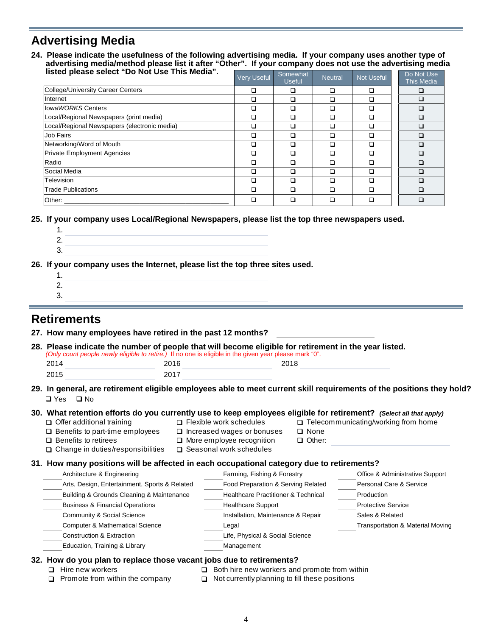## **Advertising Media**

**24. Please indicate the usefulness of the following advertising media. If your company uses another type of advertising media/method please list it after "Other". If your company does not use the advertising media listed please select "Do Not Use This Media".** 

| <b>INSIBUT DIGREE SEIGLE DO NOT OSE THIS MEDICAL</b> | <b>Very Useful</b> | Somewhat<br><b>Useful</b> | <b>Neutral</b> | Not Useful | Do Not Use<br><b>This Media</b> |
|------------------------------------------------------|--------------------|---------------------------|----------------|------------|---------------------------------|
| College/University Career Centers                    | ப                  | □                         | ◻              | ◻          | □                               |
| Internet                                             | ◻                  | □                         | ◻              | □          | $\Box$                          |
| lowa WORKS Centers                                   | ◻                  | □                         | □              | ◻          | □                               |
| Local/Regional Newspapers (print media)              | □                  | □                         | ◻              | □          | □                               |
| Local/Regional Newspapers (electronic media)         | ◻                  | □                         | ◻              | ◻          | $\Box$                          |
| <b>Job Fairs</b>                                     | □                  | □                         | □              | ◻          | □                               |
| Networking/Word of Mouth                             | ◻                  | □                         | □              | □          | □                               |
| Private Employment Agencies                          | □                  | □                         | ◻              | □          | □                               |
| Radio                                                | ◻                  | □                         | ◻              | ◻          | □                               |
| Social Media                                         | ◻                  | □                         | ◻              | □          | □                               |
| Television                                           | ◻                  | □                         | ◻              | ◻          | $\Box$                          |
| <b>Trade Publications</b>                            |                    | □                         | ◻              | ◻          | $\Box$                          |
| Other:                                               |                    | □                         | ◻              |            |                                 |

**25. If your company uses Local/Regional Newspapers, please list the top three newspapers used.** 

1. 2. 3.

**26. If your company uses the Internet, please list the top three sites used.** 

1. 2. 3.

## **Retirements**

| 28. Please indicate the number of people that will become eligible for retirement in the year listed.<br>(Only count people newly eligible to retire.) If no one is eligible in the given year please mark "0". |      |                                                   |                                            |
|-----------------------------------------------------------------------------------------------------------------------------------------------------------------------------------------------------------------|------|---------------------------------------------------|--------------------------------------------|
| 2014                                                                                                                                                                                                            | 2016 | 2018                                              |                                            |
| 2015                                                                                                                                                                                                            | 2017 |                                                   |                                            |
| 29. In general, are retirement eligible employees able to meet current skill requirements of the positions they hold?<br>$\Box$ Yes $\Box$ No                                                                   |      |                                                   |                                            |
| 30. What retention efforts do you currently use to keep employees eligible for retirement? (Select all that apply)<br>$\Box$ Offer additional training                                                          |      | $\Box$ Flexible work schedules                    | $\Box$ Telecommunicating/working from home |
| $\Box$ Benefits to part-time employees                                                                                                                                                                          |      | $\Box$ Increased wages or bonuses<br>$\Box$ None  |                                            |
| $\Box$ Benefits to retirees                                                                                                                                                                                     |      | $\Box$ More employee recognition<br>$\Box$ Other: |                                            |
| $\Box$ Change in duties/responsibilities                                                                                                                                                                        |      | $\Box$ Seasonal work schedules                    |                                            |
| 31. How many positions will be affected in each occupational category due to retirements?                                                                                                                       |      |                                                   |                                            |
| Architecture & Engineering                                                                                                                                                                                      |      | Farming, Fishing & Forestry                       | Office & Administrative Support            |
| Arts, Design, Entertainment, Sports & Related                                                                                                                                                                   |      | Food Preparation & Serving Related                | Personal Care & Service                    |
| Building & Grounds Cleaning & Maintenance                                                                                                                                                                       |      | <b>Healthcare Practitioner &amp; Technical</b>    | Production                                 |
| <b>Business &amp; Financial Operations</b>                                                                                                                                                                      |      | <b>Healthcare Support</b>                         | <b>Protective Service</b>                  |
| Community & Social Science                                                                                                                                                                                      |      | Installation, Maintenance & Repair                | Sales & Related                            |
| <b>Computer &amp; Mathematical Science</b>                                                                                                                                                                      |      | Legal                                             | Transportation & Material Moving           |
|                                                                                                                                                                                                                 |      | Life, Physical & Social Science                   |                                            |
| <b>Construction &amp; Extraction</b>                                                                                                                                                                            |      |                                                   |                                            |

- $\Box$  Hire new workers
	- $\Box$  Both hire new workers and promote from within
- $\Box$  Promote from within the company  $\Box$  Not currently planning to fill these positions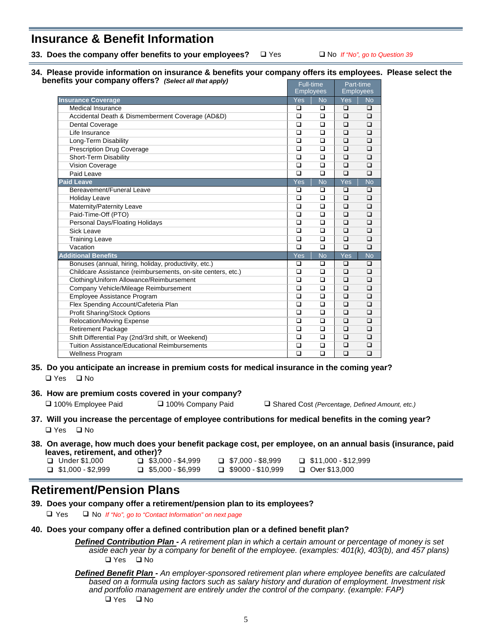## **Insurance & Benefit Information**

**33. Does the company offer benefits to your employees?** 

□ Yes □ No *If "No", go to Question 39* 

**34. Please provide information on insurance & benefits your company offers its employees.****Please select the benefits your company offers?** *(Select all that apply)* 

| $\frac{1}{2}$ our company oncreating the call that apply     | <b>Full-time</b><br><b>Employees</b> |           | Part-time<br><b>Employees</b> |           |  |
|--------------------------------------------------------------|--------------------------------------|-----------|-------------------------------|-----------|--|
| <b>Insurance Coverage</b>                                    | Yes                                  | <b>No</b> | Yes                           | <b>No</b> |  |
| <b>Medical Insurance</b>                                     | □                                    | $\Box$    | $\Box$                        | $\Box$    |  |
| Accidental Death & Dismemberment Coverage (AD&D)             | □                                    | □         | $\Box$                        | $\Box$    |  |
| <b>Dental Coverage</b>                                       | $\Box$                               | $\Box$    | $\Box$                        | $\Box$    |  |
| Life Insurance                                               | ◻                                    | ◻         | $\Box$                        | $\Box$    |  |
| Long-Term Disability                                         | $\Box$                               | $\Box$    | $\Box$                        | $\Box$    |  |
| <b>Prescription Drug Coverage</b>                            | $\Box$                               | $\Box$    | $\Box$                        | $\Box$    |  |
| Short-Term Disability                                        | $\Box$                               | $\Box$    | $\Box$                        | $\Box$    |  |
| Vision Coverage                                              | $\Box$                               | $\Box$    | $\Box$                        | $\Box$    |  |
| Paid Leave                                                   | $\Box$                               | $\Box$    | $\Box$                        | $\Box$    |  |
| <b>Paid Leave</b>                                            | Yes                                  | <b>No</b> | Yes                           | No        |  |
| Bereavement/Funeral Leave                                    | □                                    | $\Box$    | $\Box$                        | $\Box$    |  |
| <b>Holiday Leave</b>                                         | □                                    | □         | $\Box$                        | $\Box$    |  |
| Maternity/Paternity Leave                                    | $\Box$                               | $\Box$    | $\Box$                        | $\Box$    |  |
| Paid-Time-Off (PTO)                                          | $\Box$                               | $\Box$    | $\Box$                        | $\Box$    |  |
| Personal Days/Floating Holidays                              | $\Box$                               | $\Box$    | $\Box$                        | $\Box$    |  |
| <b>Sick Leave</b>                                            | $\Box$                               | $\Box$    | $\Box$                        |           |  |
| <b>Training Leave</b>                                        | □                                    | $\Box$    | $\Box$                        | $\Box$    |  |
| Vacation                                                     | $\Box$                               | $\Box$    | $\Box$                        | $\Box$    |  |
| <b>Additional Benefits</b>                                   | Yes                                  | <b>No</b> | Yes                           | <b>No</b> |  |
| Bonuses (annual, hiring, holiday, productivity, etc.)        | $\Box$                               | $\Box$    | $\Box$                        | $\Box$    |  |
| Childcare Assistance (reimbursements, on-site centers, etc.) | $\Box$                               | $\Box$    | ◻                             | $\Box$    |  |
| Clothing/Uniform Allowance/Reimbursement                     | □                                    | $\Box$    | $\Box$                        |           |  |
| Company Vehicle/Mileage Reimbursement                        | $\Box$                               | $\Box$    | $\Box$                        | $\Box$    |  |
| Employee Assistance Program                                  | $\Box$                               | $\Box$    | $\Box$                        | $\Box$    |  |
| Flex Spending Account/Cafeteria Plan                         | $\Box$                               | $\Box$    | $\Box$                        | $\Box$    |  |
| Profit Sharing/Stock Options                                 | □                                    | $\Box$    | $\Box$                        | $\Box$    |  |
| <b>Relocation/Moving Expense</b>                             | □                                    | □         | $\Box$                        | $\Box$    |  |
| <b>Retirement Package</b>                                    | $\Box$                               | $\Box$    | $\Box$                        | $\Box$    |  |
| Shift Differential Pay (2nd/3rd shift, or Weekend)           | $\Box$                               | $\Box$    | $\Box$                        | $\Box$    |  |
| <b>Tuition Assistance/Educational Reimbursements</b>         | $\Box$                               | $\Box$    | $\Box$                        | $\Box$    |  |
| <b>Wellness Program</b>                                      | □                                    | $\Box$    | □                             | $\Box$    |  |

- □ Yes □ No **35. Do you anticipate an increase in premium costs for medical insurance in the coming year?**
- **36. How are premium costs covered in your company?**

100% Employee Paid 100% Company Paid Shared Cost *(Percentage, Defined Amount, etc.)*

- **37. Will you increase the percentage of employee contributions for medical benefits in the coming year?**  □ Yes □ No
- **38. On average, how much does your benefit package cost, per employee, on an annual basis (insurance, paid leaves, retirement, and other)?**

| $\Box$ Under \$1,000     | $\Box$ \$3,000 - \$4,999 | $\Box$ \$7,000 - \$8,999 | $\Box$ \$11,000 - \$12,999 |
|--------------------------|--------------------------|--------------------------|----------------------------|
| $\Box$ \$1,000 - \$2,999 | $\Box$ \$5,000 - \$6,999 | $\Box$ \$9000 - \$10,999 | $\Box$ Over \$13,000       |

## **Retirement/Pension Plans**

**39. Does your company offer a retirement/pension plan to its employees?** 

Yes No *If "No", go to "Contact Information" on next page* 

**40. Does your company offer a defined contribution plan or a defined benefit plan?**

#### *Defined Contribution Plan - A retirement plan in which a certain amount or percentage of money is set aside each year by a company for benefit of the employee. (examples: 401(k), 403(b), and 457 plans)*   $\Box$  Yes  $\Box$  No

*Defined Benefit Plan - An employer-sponsored retirement plan where employee benefits are calculated based on a formula using factors such as salary history and duration of employment. Investment risk and portfolio management are entirely under the control of the company. (example: FAP)*

 $\Box$  Yes  $\Box$  No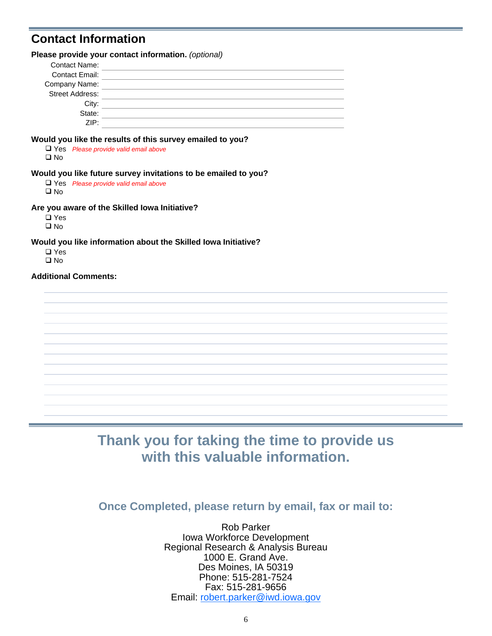## **Contact Information**

|                 | Please provide your contact information. (optional)                                                           |
|-----------------|---------------------------------------------------------------------------------------------------------------|
| Contact Name:   |                                                                                                               |
| Contact Email:  |                                                                                                               |
| Company Name:   |                                                                                                               |
| Street Address: |                                                                                                               |
| City:           |                                                                                                               |
| State:          |                                                                                                               |
| ZIP:            |                                                                                                               |
| □ No            | Would you like the results of this survey emailed to you?<br>$\Box$ Yes Please provide valid email above      |
| □ No            | Would you like future survey invitations to be emailed to you?<br>$\Box$ Yes Please provide valid email above |

**Are you aware of the Skilled Iowa Initiative?**

□ Yes □ No

**Would you like information about the Skilled Iowa Initiative?**

□ Yes □ No

#### **Additional Comments:**

## **Thank you for taking the time to provide us with this valuable information.**

**Once Completed, please return by email, fax or mail to:** 

Rob Parker Iowa Workforce Development Regional Research & Analysis Bureau 1000 E. Grand Ave. Des Moines, IA 50319 Phone: 515-281-7524 Fax: 515-281-9656 Email: robert.parker@iwd.iowa.gov